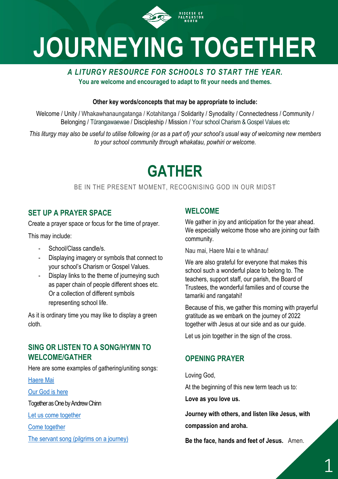

# **JOURNEYING TOGETHER**

# *A LITURGY RESOURCE FOR SCHOOLS TO START THE YEAR.*  **You are welcome and encouraged to adapt to fit your needs and themes.**

### **Other key words/concepts that may be appropriate to include:**

Welcome / Unity / Whakawhanaungatanga / Kotahitanga / Solidarity / Synodality / Connectedness / Community / Belonging / Tūrangawaewae / Discipleship / Mission / Your school Charism & Gospel Values etc

*This liturgy may also be useful to utilise following (or as a part of) your school's usual way of welcoming new members to your school community through whakatau, powhiri or welcome.*

# **GATHER**

# BE IN THE PRESENT MOMENT, RECOGNISING GOD IN OUR MIDST

# **SET UP A PRAYER SPACE**

Create a prayer space or focus for the time of prayer.

This may include:

- School/Class candle/s.
- Displaying imagery or symbols that connect to your school's Charism or Gospel Values.
- Display links to the theme of journeying such as paper chain of people different shoes etc. Or a collection of different symbols representing school life.

As it is ordinary time you may like to display a green cloth.

# **SING OR LISTEN TO A SONG/HYMN TO WELCOME/GATHER**

Here are some examples of gathering/uniting songs:

[Haere Mai](https://www.youtube.com/watch?v=nVeJHToYOQk&list=RDnVeJHToYOQk&start_radio=1&t=34s)

[Our God is here](https://www.youtube.com/watch?v=WtSnIxnIB3k)

Together as One by Andrew Chinn

[Let us come together](https://www.youtube.com/watch?v=8DAeUH1nl10&t=46s)

[Come together](https://www.youtube.com/watch?v=U8UZNICJBgw)

[The servant song \(pilgrims on a journey\)](https://www.youtube.com/watch?v=kdmgpMfnjdU) 

# **WELCOME**

We gather in joy and anticipation for the year ahead. We especially welcome those who are joining our faith community.

Nau mai, Haere Mai e te whānau!

We are also grateful for everyone that makes this school such a wonderful place to belong to. The teachers, support staff, our parish, the Board of Trustees, the wonderful families and of course the tamariki and rangatahi!

Because of this, we gather this morning with prayerful gratitude as we embark on the journey of 2022 together with Jesus at our side and as our guide.

Let us join together in the sign of the cross.

# **OPENING PRAYER**

Loving God,

At the beginning of this new term teach us to:

**Love as you love us.**

**Journey with others, and listen like Jesus, with compassion and aroha.**

**Be the face, hands and feet of Jesus.** Amen.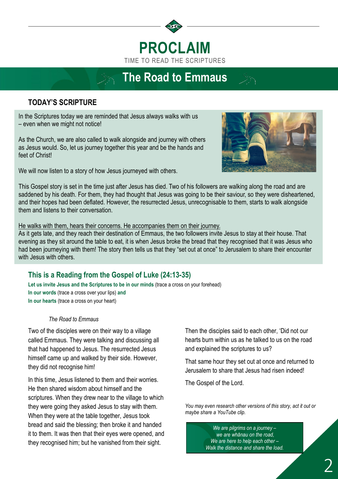

# **The Road to Emmaus**

# **TODAY'S SCRIPTURE**

In the Scriptures today we are reminded that Jesus always walks with us – even when we might not notice!

As the Church, we are also called to walk alongside and journey with others as Jesus would. So, let us journey together this year and be the hands and feet of Christ!

We will now listen to a story of how Jesus journeyed with others.



This Gospel story is set in the time just after Jesus has died. Two of his followers are walking along the road and are saddened by his death. For them, they had thought that Jesus was going to be their saviour, so they were disheartened, and their hopes had been deflated. However, the resurrected Jesus, unrecognisable to them, starts to walk alongside them and listens to their conversation.

#### He walks with them, hears their concerns. He accompanies them on their journey.

As it gets late, and they reach their destination of Emmaus, the two followers invite Jesus to stay at their house. That evening as they sit around the table to eat, it is when Jesus broke the bread that they recognised that it was Jesus who had been journeying with them! The story then tells us that they "set out at once" to Jerusalem to share their encounter with Jesus with others.

# **This is a Reading from the Gospel of Luke (24:13-35)**

**Let us invite Jesus and the Scriptures to be in our minds** (trace a cross on your forehead) **In our words** (trace a cross over your lips) **and In our hearts** (trace a cross on your heart)

#### *The Road to Emmaus*

Two of the disciples were on their way to a village called Emmaus. They were talking and discussing all that had happened to Jesus. The resurrected Jesus himself came up and walked by their side. However, they did not recognise him!

In this time, Jesus listened to them and their worries. He then shared wisdom about himself and the scriptures. When they drew near to the village to which they were going they asked Jesus to stay with them. When they were at the table together, Jesus took bread and said the blessing; then broke it and handed it to them. It was then that their eyes were opened, and they recognised him; but he vanished from their sight.

Then the disciples said to each other, 'Did not our hearts burn within us as he talked to us on the road and explained the scriptures to us?

That same hour they set out at once and returned to Jerusalem to share that Jesus had risen indeed!

The Gospel of the Lord.

*You may even research other versions of this story, act it out or maybe share a YouTube clip.*

> *We are pilgrims on a journey – we are whānau on the road, We are here to help each other – Walk the distance and share the load.*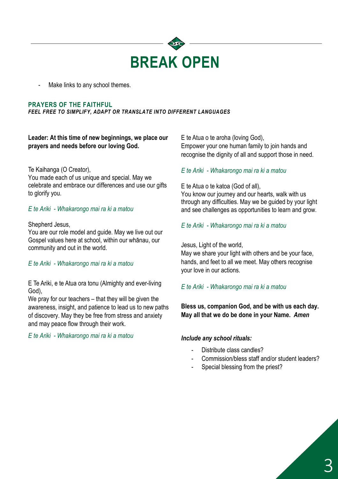

Make links to any school themes.

#### **PRAYERS OF THE FAITHFUL**

*FEEL FREE TO SIMPLIFY, ADAPT OR TRANSLATE INTO DIFFERENT LANGUAGES*

**Leader: At this time of new beginnings, we place our prayers and needs before our loving God.** 

#### Te Kaihanga (O Creator),

You made each of us unique and special. May we celebrate and embrace our differences and use our gifts to glorify you.

#### *E te Ariki - Whakarongo mai ra ki a matou*

#### Shepherd Jesus,

You are our role model and guide. May we live out our Gospel values here at school, within our whānau, our community and out in the world.

#### *E te Ariki - Whakarongo mai ra ki a matou*

E Te Ariki, e te Atua ora tonu (Almighty and ever-living God),

We pray for our teachers – that they will be given the awareness, insight, and patience to lead us to new paths of discovery. May they be free from stress and anxiety and may peace flow through their work.

*E te Ariki - Whakarongo mai ra ki a matou*

E te Atua o te aroha (loving God), Empower your one human family to join hands and recognise the dignity of all and support those in need.

#### *E te Ariki - Whakarongo mai ra ki a matou*

E te Atua o te katoa (God of all),

You know our journey and our hearts, walk with us through any difficulties. May we be guided by your light and see challenges as opportunities to learn and grow.

*E te Ariki - Whakarongo mai ra ki a matou*

Jesus, Light of the world,

May we share your light with others and be your face, hands, and feet to all we meet. May others recognise your love in our actions.

#### *E te Ariki - Whakarongo mai ra ki a matou*

**Bless us, companion God, and be with us each day. May all that we do be done in your Name.** *Amen*

#### *Include any school rituals:*

- Distribute class candles?
- Commission/bless staff and/or student leaders?
- Special blessing from the priest?